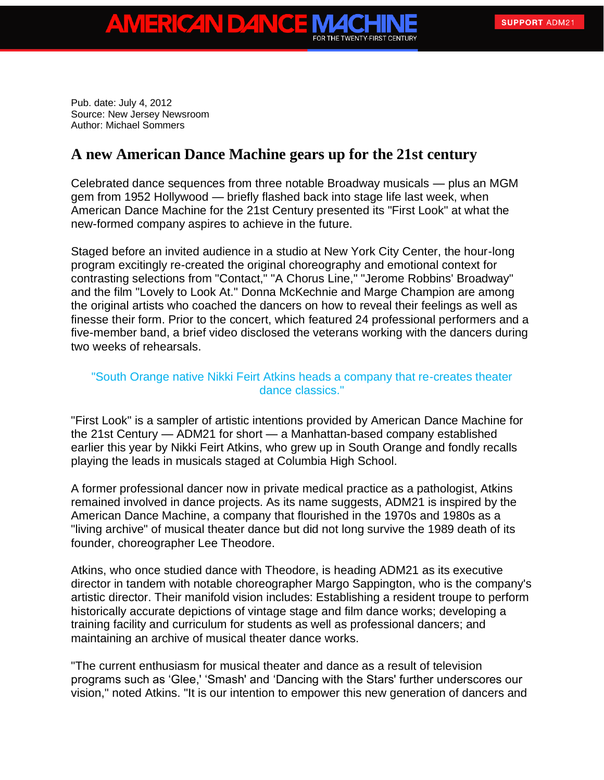Pub. date: July 4, 2012 Source: New Jersey Newsroom Author: Michael Sommers

ERICAN DAN

## **A new American Dance Machine gears up for the 21st century**

Celebrated dance sequences from three notable Broadway musicals — plus an MGM gem from 1952 Hollywood — briefly flashed back into stage life last week, when American Dance Machine for the 21st Century presented its "First Look" at what the new-formed company aspires to achieve in the future.

Staged before an invited audience in a studio at New York City Center, the hour-long program excitingly re-created the original choreography and emotional context for contrasting selections from "Contact," "A Chorus Line," "Jerome Robbins' Broadway" and the film "Lovely to Look At." Donna McKechnie and Marge Champion are among the original artists who coached the dancers on how to reveal their feelings as well as finesse their form. Prior to the concert, which featured 24 professional performers and a five-member band, a brief video disclosed the veterans working with the dancers during two weeks of rehearsals.

## "South Orange native Nikki Feirt Atkins heads a company that re-creates theater dance classics."

"First Look" is a sampler of artistic intentions provided by American Dance Machine for the 21st Century — ADM21 for short — a Manhattan-based company established earlier this year by Nikki Feirt Atkins, who grew up in South Orange and fondly recalls playing the leads in musicals staged at Columbia High School.

A former professional dancer now in private medical practice as a pathologist, Atkins remained involved in dance projects. As its name suggests, ADM21 is inspired by the American Dance Machine, a company that flourished in the 1970s and 1980s as a "living archive" of musical theater dance but did not long survive the 1989 death of its founder, choreographer Lee Theodore.

Atkins, who once studied dance with Theodore, is heading ADM21 as its executive director in tandem with notable choreographer Margo Sappington, who is the company's artistic director. Their manifold vision includes: Establishing a resident troupe to perform historically accurate depictions of vintage stage and film dance works; developing a training facility and curriculum for students as well as professional dancers; and maintaining an archive of musical theater dance works.

"The current enthusiasm for musical theater and dance as a result of television programs such as 'Glee,' 'Smash' and 'Dancing with the Stars' further underscores our vision," noted Atkins. "It is our intention to empower this new generation of dancers and